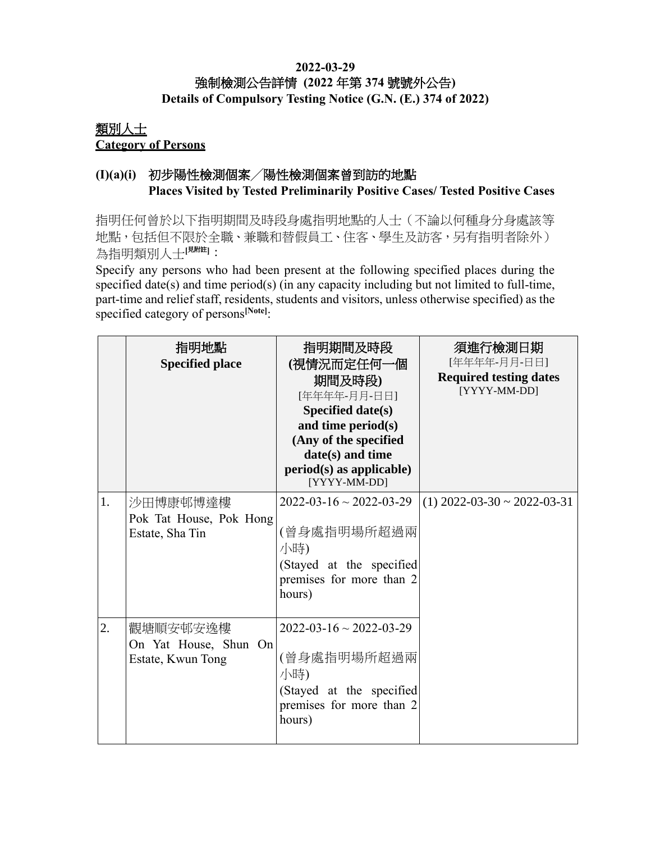### **2022-03-29** 強制檢測公告詳情 **(2022** 年第 **374** 號號外公告**) Details of Compulsory Testing Notice (G.N. (E.) 374 of 2022)**

### 類別人士 **Category of Persons**

# **(I)(a)(i)** 初步陽性檢測個案╱陽性檢測個案曾到訪的地點 **Places Visited by Tested Preliminarily Positive Cases/ Tested Positive Cases**

指明任何曾於以下指明期間及時段身處指明地點的人士(不論以何種身分身處該等 地點,包括但不限於全職、兼職和替假員工、住客、學生及訪客,另有指明者除外) 為指明類別人士[<sup>見附註]</sup>:

Specify any persons who had been present at the following specified places during the specified date(s) and time period(s) (in any capacity including but not limited to full-time, part-time and relief staff, residents, students and visitors, unless otherwise specified) as the specified category of persons**[Note]**:

|    | 指明地點<br><b>Specified place</b>                         | 指明期間及時段<br>(視情況而定任何一個<br>期間及時段)<br>[年年年年-月月-日日]<br>Specified date(s)<br>and time period(s)<br>(Any of the specified<br>date(s) and time<br>$period(s)$ as applicable)<br>[YYYY-MM-DD] | 須進行檢測日期<br>[年年年年-月月-日日]<br><b>Required testing dates</b><br>[YYYY-MM-DD] |
|----|--------------------------------------------------------|---------------------------------------------------------------------------------------------------------------------------------------------------------------------------------------|--------------------------------------------------------------------------|
| 1. | 沙田博康邨博達樓<br>Pok Tat House, Pok Hong<br>Estate, Sha Tin | $2022 - 03 - 16 \sim 2022 - 03 - 29$<br>(曾身處指明場所超過兩<br>小時)<br>(Stayed at the specified<br>premises for more than 2<br>hours)                                                          | $(1)$ 2022-03-30 ~ 2022-03-31                                            |
| 2. | 觀塘順安邨安逸樓<br>On Yat House, Shun On<br>Estate, Kwun Tong | $2022 - 03 - 16 \sim 2022 - 03 - 29$<br>(曾身處指明場所超過兩<br>小時)<br>(Stayed at the specified<br>premises for more than 2<br>hours)                                                          |                                                                          |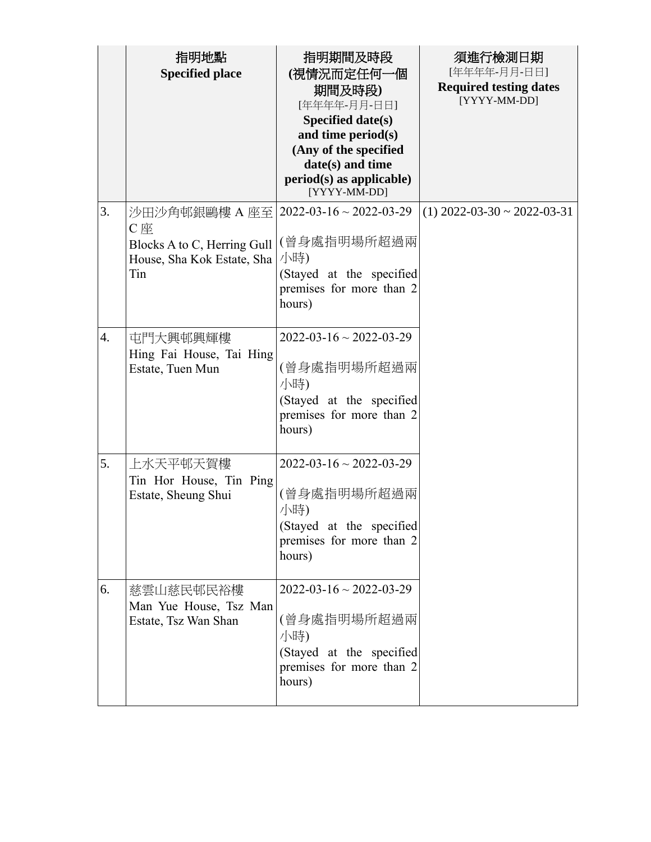|    | 指明地點<br><b>Specified place</b>                                                             | 指明期間及時段<br>(視情況而定任何一個<br>期間及時段)<br>[年年年年-月月-日日]<br>Specified date(s)<br>and time period(s)<br>(Any of the specified<br>date(s) and time<br>$period(s)$ as applicable)<br>[YYYY-MM-DD] | 須進行檢測日期<br>[年年年年-月月-日日]<br><b>Required testing dates</b><br>[YYYY-MM-DD] |
|----|--------------------------------------------------------------------------------------------|---------------------------------------------------------------------------------------------------------------------------------------------------------------------------------------|--------------------------------------------------------------------------|
| 3. | 沙田沙角邨銀鷗樓 A 座至<br>$C$ 座<br>Blocks A to C, Herring Gull<br>House, Sha Kok Estate, Sha<br>Tin | $2022 - 03 - 16 \sim 2022 - 03 - 29$<br>(曾身處指明場所超過兩<br>小時)<br>(Stayed at the specified<br>premises for more than 2<br>hours)                                                          | $(1)$ 2022-03-30 ~ 2022-03-31                                            |
| 4. | 屯門大興邨興輝樓<br>Hing Fai House, Tai Hing<br>Estate, Tuen Mun                                   | $2022 - 03 - 16 \sim 2022 - 03 - 29$<br>(曾身處指明場所超過兩<br>小時)<br>(Stayed at the specified<br>premises for more than 2<br>hours)                                                          |                                                                          |
| 5. | 上水天平邨天賀樓<br>Tin Hor House, Tin Ping<br>Estate, Sheung Shui                                 | $2022 - 03 - 16 \sim 2022 - 03 - 29$<br>(曾身處指明場所超過兩<br>小時)<br>(Stayed at the specified<br>premises for more than 2<br>hours)                                                          |                                                                          |
| 6. | 慈雲山慈民邨民裕樓<br>Man Yue House, Tsz Man<br>Estate, Tsz Wan Shan                                | $2022 - 03 - 16 \sim 2022 - 03 - 29$<br>(曾身處指明場所超過兩<br>小時)<br>(Stayed at the specified<br>premises for more than 2<br>hours)                                                          |                                                                          |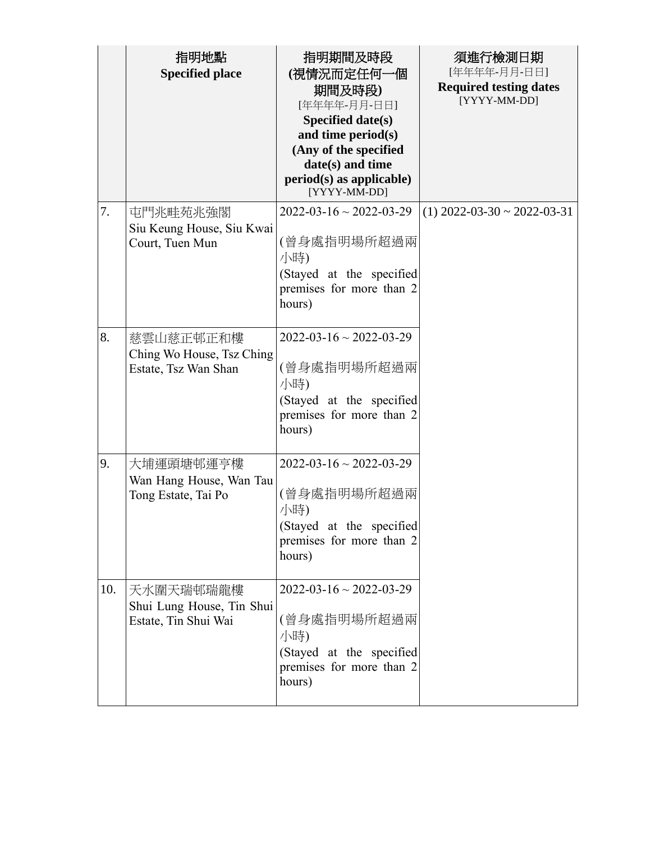|     | 指明地點                      | 指明期間及時段                                   | 須進行檢測日期                       |
|-----|---------------------------|-------------------------------------------|-------------------------------|
|     | <b>Specified place</b>    | (視情況而定任何一個                                | [年年年年-月月-日日]                  |
|     |                           | 期間及時段)                                    | <b>Required testing dates</b> |
|     |                           | [年年年年-月月-日日]                              | [YYYY-MM-DD]                  |
|     |                           | Specified date(s)                         |                               |
|     |                           | and time period(s)                        |                               |
|     |                           | (Any of the specified<br>date(s) and time |                               |
|     |                           | $period(s)$ as applicable)                |                               |
|     |                           | [YYYY-MM-DD]                              |                               |
| 7.  | 屯門兆畦苑兆強閣                  | $2022 - 03 - 16 \sim 2022 - 03 - 29$      | $(1)$ 2022-03-30 ~ 2022-03-31 |
|     | Siu Keung House, Siu Kwai |                                           |                               |
|     | Court, Tuen Mun           | (曾身處指明場所超過兩                               |                               |
|     |                           | 小時)                                       |                               |
|     |                           | (Stayed at the specified                  |                               |
|     |                           | premises for more than 2                  |                               |
|     |                           | hours)                                    |                               |
| 8.  | 慈雲山慈正邨正和樓                 | $2022 - 03 - 16 \sim 2022 - 03 - 29$      |                               |
|     | Ching Wo House, Tsz Ching |                                           |                               |
|     | Estate, Tsz Wan Shan      | (曾身處指明場所超過兩                               |                               |
|     |                           | 小時)                                       |                               |
|     |                           | (Stayed at the specified                  |                               |
|     |                           | premises for more than 2                  |                               |
|     |                           | hours)                                    |                               |
|     |                           |                                           |                               |
| 9.  | 大埔運頭塘邨運亨樓                 | $2022 - 03 - 16 \sim 2022 - 03 - 29$      |                               |
|     | Wan Hang House, Wan Tau   | (曾身處指明場所超過兩                               |                               |
|     | Tong Estate, Tai Po       | 小時)                                       |                               |
|     |                           | (Stayed at the specified                  |                               |
|     |                           | premises for more than 2                  |                               |
|     |                           | hours)                                    |                               |
|     |                           |                                           |                               |
| 10. | 天水圍天瑞邨瑞龍樓                 | $2022 - 03 - 16 \sim 2022 - 03 - 29$      |                               |
|     | Shui Lung House, Tin Shui |                                           |                               |
|     | Estate, Tin Shui Wai      | (曾身處指明場所超過兩                               |                               |
|     |                           | 小時)                                       |                               |
|     |                           | (Stayed at the specified                  |                               |
|     |                           | premises for more than 2<br>hours)        |                               |
|     |                           |                                           |                               |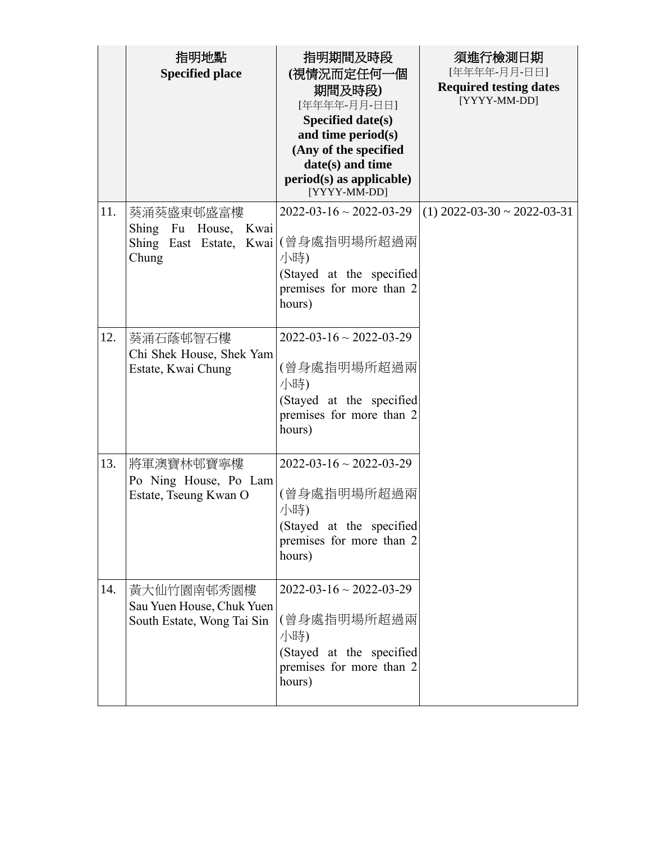|     | 指明地點                                           | 指明期間及時段                                              | 須進行檢測日期                       |
|-----|------------------------------------------------|------------------------------------------------------|-------------------------------|
|     | <b>Specified place</b>                         | (視情況而定任何一個                                           | [年年年年-月月-日日]                  |
|     |                                                | 期間及時段)                                               | <b>Required testing dates</b> |
|     |                                                | [年年年年-月月-日日]                                         | [YYYY-MM-DD]                  |
|     |                                                | Specified date( $s$ )                                |                               |
|     |                                                | and time period(s)<br>(Any of the specified          |                               |
|     |                                                | date(s) and time                                     |                               |
|     |                                                | $period(s)$ as applicable)                           |                               |
|     |                                                | [YYYY-MM-DD]                                         |                               |
| 11. | 葵涌葵盛東邨盛富樓                                      | $2022 - 03 - 16 \sim 2022 - 03 - 29$                 | $(1)$ 2022-03-30 ~ 2022-03-31 |
|     | Shing Fu House,<br>Kwai                        |                                                      |                               |
|     | Shing East Estate, Kwai (曾身處指明場所超過兩            |                                                      |                               |
|     | Chung                                          | 小時)                                                  |                               |
|     |                                                | (Stayed at the specified                             |                               |
|     |                                                | premises for more than 2<br>hours)                   |                               |
|     |                                                |                                                      |                               |
| 12. | 葵涌石蔭邨智石樓                                       | $2022 - 03 - 16 \sim 2022 - 03 - 29$                 |                               |
|     | Chi Shek House, Shek Yam                       |                                                      |                               |
|     | Estate, Kwai Chung                             | (曾身處指明場所超過兩                                          |                               |
|     |                                                | 小時)                                                  |                               |
|     |                                                | (Stayed at the specified                             |                               |
|     |                                                | premises for more than 2                             |                               |
|     |                                                | hours)                                               |                               |
|     |                                                |                                                      |                               |
| 13. | 將軍澳寶林邨寶寧樓                                      | $2022 - 03 - 16 \sim 2022 - 03 - 29$                 |                               |
|     | Po Ning House, Po Lam<br>Estate, Tseung Kwan O | (曾身處指明場所超過兩                                          |                               |
|     |                                                | 小時)                                                  |                               |
|     |                                                | (Stayed at the specified                             |                               |
|     |                                                | premises for more than 2                             |                               |
|     |                                                | hours)                                               |                               |
|     |                                                |                                                      |                               |
| 14. | 黃大仙竹園南邨秀園樓                                     | $2022 - 03 - 16 \sim 2022 - 03 - 29$                 |                               |
|     | Sau Yuen House, Chuk Yuen                      |                                                      |                               |
|     | South Estate, Wong Tai Sin                     | (曾身處指明場所超過兩                                          |                               |
|     |                                                | 小時)                                                  |                               |
|     |                                                | (Stayed at the specified<br>premises for more than 2 |                               |
|     |                                                | hours)                                               |                               |
|     |                                                |                                                      |                               |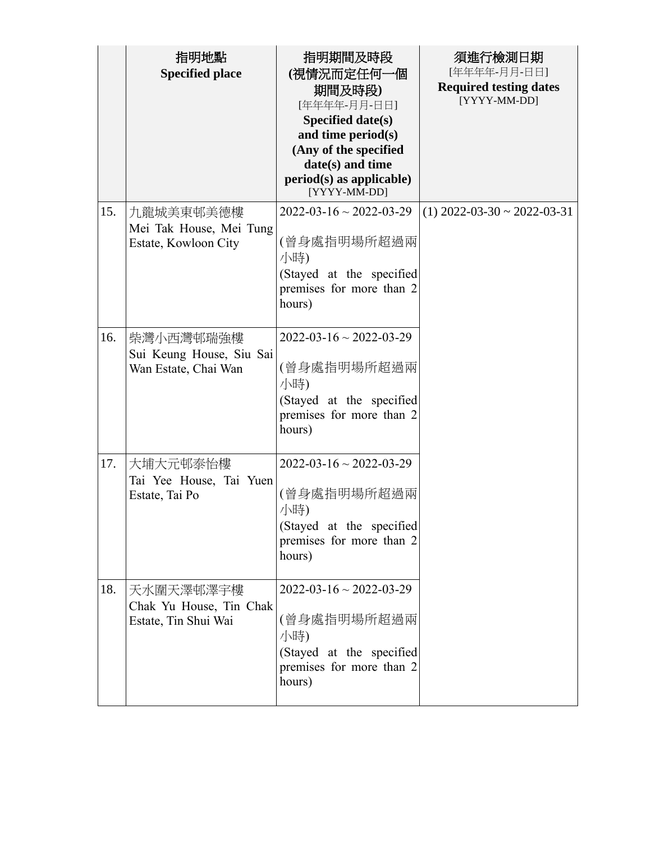|     | 指明地點                     | 指明期間及時段                                              | 須進行檢測日期                       |
|-----|--------------------------|------------------------------------------------------|-------------------------------|
|     | <b>Specified place</b>   | (視情況而定任何一個                                           | [年年年年-月月-日日]                  |
|     |                          | 期間及時段)                                               | <b>Required testing dates</b> |
|     |                          | [年年年年-月月-日日]                                         | [YYYY-MM-DD]                  |
|     |                          | Specified date(s)                                    |                               |
|     |                          | and time period(s)                                   |                               |
|     |                          | (Any of the specified<br>date(s) and time            |                               |
|     |                          | $period(s)$ as applicable)                           |                               |
|     |                          | [YYYY-MM-DD]                                         |                               |
| 15. | 九龍城美東邨美德樓                | $2022 - 03 - 16 \sim 2022 - 03 - 29$                 | $(1)$ 2022-03-30 ~ 2022-03-31 |
|     | Mei Tak House, Mei Tung  |                                                      |                               |
|     | Estate, Kowloon City     | (曾身處指明場所超過兩                                          |                               |
|     |                          | 小時)                                                  |                               |
|     |                          | (Stayed at the specified                             |                               |
|     |                          | premises for more than 2<br>hours)                   |                               |
|     |                          |                                                      |                               |
| 16. | 柴灣小西灣邨瑞強樓                | $2022 - 03 - 16 \sim 2022 - 03 - 29$                 |                               |
|     | Sui Keung House, Siu Sai |                                                      |                               |
|     | Wan Estate, Chai Wan     | (曾身處指明場所超過兩                                          |                               |
|     |                          | 小時)                                                  |                               |
|     |                          | (Stayed at the specified                             |                               |
|     |                          | premises for more than 2                             |                               |
|     |                          | hours)                                               |                               |
|     |                          |                                                      |                               |
| 17. | 大埔大元邨泰怡樓                 | $2022 - 03 - 16 \sim 2022 - 03 - 29$                 |                               |
|     | Tai Yee House, Tai Yuen  | (曾身處指明場所超過兩                                          |                               |
|     | Estate, Tai Po           | 小時)                                                  |                               |
|     |                          | (Stayed at the specified                             |                               |
|     |                          | premises for more than 2                             |                               |
|     |                          | hours)                                               |                               |
|     |                          |                                                      |                               |
| 18. | 天水圍天澤邨澤宇樓                | $2022 - 03 - 16 \sim 2022 - 03 - 29$                 |                               |
|     | Chak Yu House, Tin Chak  |                                                      |                               |
|     | Estate, Tin Shui Wai     | (曾身處指明場所超過兩                                          |                               |
|     |                          | 小時)                                                  |                               |
|     |                          | (Stayed at the specified<br>premises for more than 2 |                               |
|     |                          | hours)                                               |                               |
|     |                          |                                                      |                               |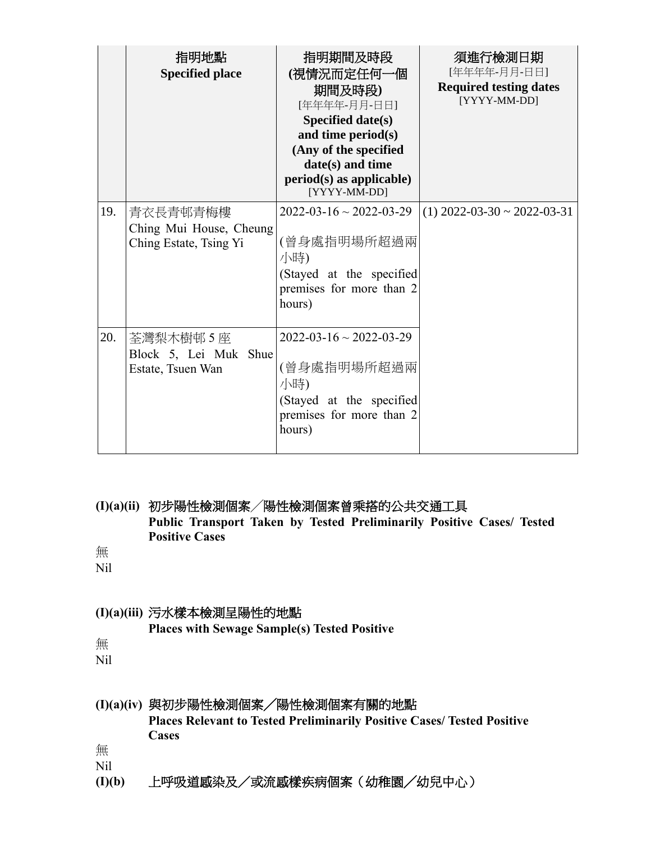|     | 指明地點<br><b>Specified place</b>                                | 指明期間及時段<br>(視情況而定任何一個<br>期間及時段)<br>[年年年年-月月-日日]<br>Specified date(s)<br>and time period(s)<br>(Any of the specified<br>date(s) and time<br>$period(s)$ as applicable)<br>[YYYY-MM-DD] | 須進行檢測日期<br>[年年年年-月月-日日]<br><b>Required testing dates</b><br>[YYYY-MM-DD] |
|-----|---------------------------------------------------------------|---------------------------------------------------------------------------------------------------------------------------------------------------------------------------------------|--------------------------------------------------------------------------|
| 19. | 青衣長青邨青梅樓<br>Ching Mui House, Cheung<br>Ching Estate, Tsing Yi | $2022 - 03 - 16 \sim 2022 - 03 - 29$<br>(曾身處指明場所超過兩<br>小時)<br>(Stayed at the specified<br>premises for more than 2<br>hours)                                                          | $(1)$ 2022-03-30 ~ 2022-03-31                                            |
| 20. | 荃灣梨木樹邨 5座<br>Block 5, Lei Muk Shue<br>Estate, Tsuen Wan       | $2022 - 03 - 16 \sim 2022 - 03 - 29$<br>(曾身處指明場所超過兩<br>小時)<br>(Stayed at the specified<br>premises for more than 2<br>hours)                                                          |                                                                          |

**(I)(a)(ii)** 初步陽性檢測個案╱陽性檢測個案曾乘搭的公共交通工具 **Public Transport Taken by Tested Preliminarily Positive Cases/ Tested Positive Cases**

無

Nil

#### **(I)(a)(iii)** 污水樣本檢測呈陽性的地點

**Places with Sewage Sample(s) Tested Positive**

無

Nil

**(I)(a)(iv)** 與初步陽性檢測個案╱陽性檢測個案有關的地點 **Places Relevant to Tested Preliminarily Positive Cases/ Tested Positive Cases**  無

Nil

**(I)(b)** 上呼吸道感染及/或流感樣疾病個案(幼稚園╱幼兒中心)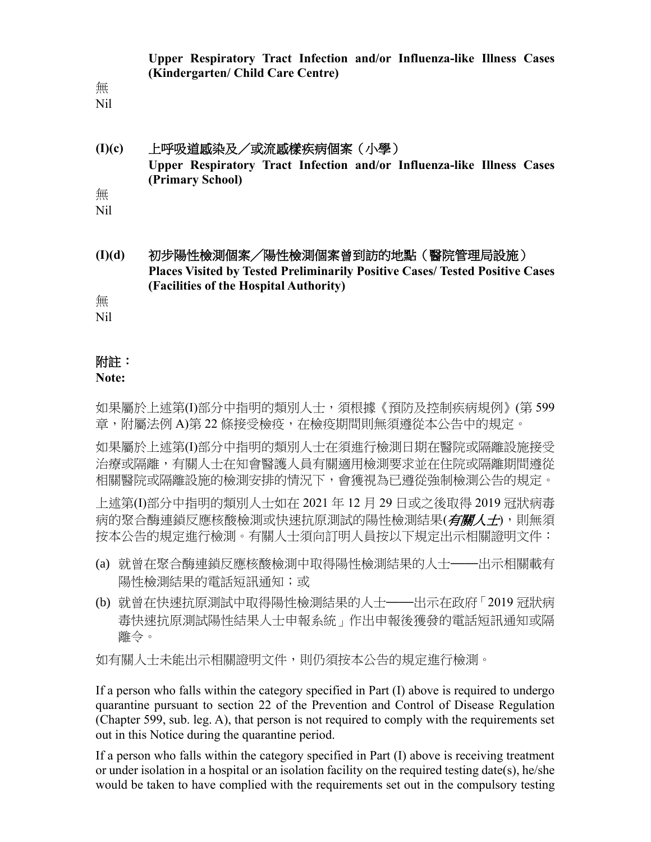**Upper Respiratory Tract Infection and/or Influenza-like Illness Cases (Kindergarten/ Child Care Centre)**

無

Nil

# **(I)(c)** 上呼吸道感染及/或流感樣疾病個案(小學) **Upper Respiratory Tract Infection and/or Influenza-like Illness Cases (Primary School)**

無

Nil

**(I)(d)** 初步陽性檢測個案╱陽性檢測個案曾到訪的地點(醫院管理局設施) **Places Visited by Tested Preliminarily Positive Cases/ Tested Positive Cases (Facilities of the Hospital Authority)**

無

Nil

## 附註:

**Note:**

如果屬於上述第(I)部分中指明的類別人士,須根據《預防及控制疾病規例》(第 599 章,附屬法例 A)第 22 條接受檢疫,在檢疫期間則無須遵從本公告中的規定。

如果屬於上述第(I)部分中指明的類別人士在須進行檢測日期在醫院或隔離設施接受 治療或隔離,有關人士在知會醫護人員有關適用檢測要求並在住院或隔離期間遵從 相關醫院或隔離設施的檢測安排的情況下,會獲視為已遵從強制檢測公告的規定。

上述第(I)部分中指明的類別人士如在 2021 年 12 月 29 日或之後取得 2019 冠狀病毒 病的聚合酶連鎖反應核酸檢測或快速抗原測試的陽性檢測結果(*有關人士*),則無須 按本公告的規定進行檢測。有關人士須向訂明人員按以下規定出示相關證明文件:

- (a) 就曾在聚合酶連鎖反應核酸檢測中取得陽性檢測結果的人士——出示相關載有 陽性檢測結果的電話短訊通知;或
- (b) 就曾在快速抗原測試中取得陽性檢測結果的人士——出示在政府「2019 冠狀病 毒快速抗原測試陽性結果人士申報系統」作出申報後獲發的電話短訊通知或隔 離令。

如有關人士未能出示相關證明文件,則仍須按本公告的規定進行檢測。

If a person who falls within the category specified in Part (I) above is required to undergo quarantine pursuant to section 22 of the Prevention and Control of Disease Regulation (Chapter 599, sub. leg. A), that person is not required to comply with the requirements set out in this Notice during the quarantine period.

If a person who falls within the category specified in Part (I) above is receiving treatment or under isolation in a hospital or an isolation facility on the required testing date(s), he/she would be taken to have complied with the requirements set out in the compulsory testing